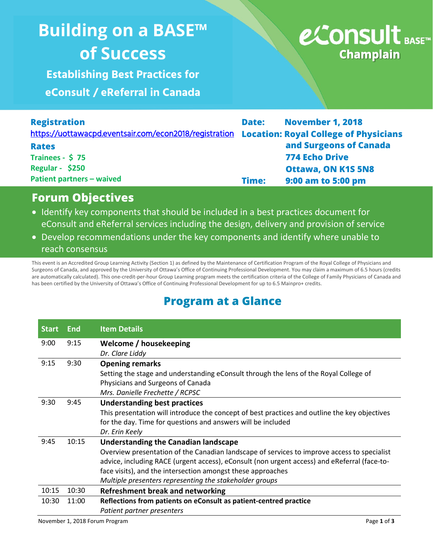## **Building on a BASE™ of Success Building on a BASE™ of Success**

**Establishing Best Practices for exercise of exercise of exercise**  $\mathbb{R}$ **eConsult / eReferral in Canada**

# e⁄Consult BASE™ **Champlain**

| <b>Registration</b>                                                                          | Date: | <b>November 1, 2018</b>   |
|----------------------------------------------------------------------------------------------|-------|---------------------------|
| https://uottawacpd.eventsair.com/econ2018/registration Location: Royal College of Physicians |       |                           |
| <b>Rates</b>                                                                                 |       | and Surgeons of Canada    |
| Trainees - $$75$                                                                             |       | <b>774 Echo Drive</b>     |
| Regular - \$250                                                                              |       | <b>Ottawa, ON K1S 5N8</b> |
| <b>Patient partners - waived</b>                                                             | Time: | 9:00 am to 5:00 pm        |

#### **Forum Objectives**

- Identify key components that should be included in a best practices document for eConsult and eReferral services including the design, delivery and provision of service
- Develop recommendations under the key components and identify where unable to reach consensus

This event is an Accredited Group Learning Activity (Section 1) as defined by the Maintenance of Certification Program of the Royal College of Physicians and Surgeons of Canada, and approved by the University of Ottawa's Office of Continuing Professional Development. You may claim a maximum of 6.5 hours (credits are automatically calculated). This one-credit-per-hour Group Learning program meets the certification criteria of the College of Family Physicians of Canada and has been certified by the University of Ottawa's Office of Continuing Professional Development for up to 6.5 Mainpro+ credits.

### **Program at a Glance**

| <b>Start</b> | <b>End</b> | <b>Item Details</b>                                                                           |
|--------------|------------|-----------------------------------------------------------------------------------------------|
| 9:00         | 9:15       | Welcome / housekeeping                                                                        |
|              |            | Dr. Clare Liddy                                                                               |
| 9:15         | 9:30       | <b>Opening remarks</b>                                                                        |
|              |            | Setting the stage and understanding eConsult through the lens of the Royal College of         |
|              |            | Physicians and Surgeons of Canada                                                             |
|              |            | Mrs. Danielle Frechette / RCPSC                                                               |
| 9:30         | 9:45       | <b>Understanding best practices</b>                                                           |
|              |            | This presentation will introduce the concept of best practices and outline the key objectives |
|              |            | for the day. Time for questions and answers will be included                                  |
|              |            | Dr. Erin Keely                                                                                |
| 9:45         | 10:15      | <b>Understanding the Canadian landscape</b>                                                   |
|              |            | Overview presentation of the Canadian landscape of services to improve access to specialist   |
|              |            | advice, including RACE (urgent access), eConsult (non urgent access) and eReferral (face-to-  |
|              |            | face visits), and the intersection amongst these approaches                                   |
|              |            | Multiple presenters representing the stakeholder groups                                       |
| 10:15        | 10:30      | Refreshment break and networking                                                              |
| 10:30        | 11:00      | Reflections from patients on eConsult as patient-centred practice                             |
|              |            | Patient partner presenters                                                                    |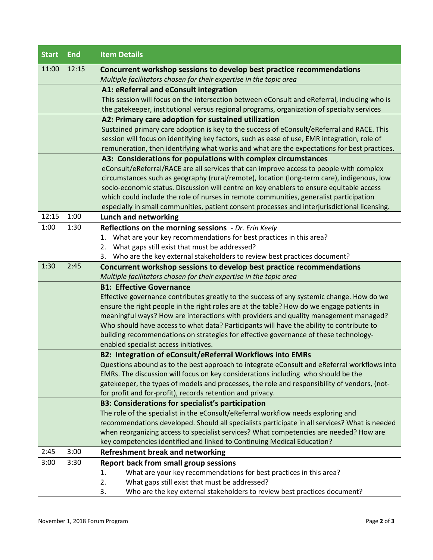| <b>Start</b> | <b>End</b> | <b>Item Details</b>                                                                           |
|--------------|------------|-----------------------------------------------------------------------------------------------|
| 11:00        | 12:15      | Concurrent workshop sessions to develop best practice recommendations                         |
|              |            | Multiple facilitators chosen for their expertise in the topic area                            |
|              |            | A1: eReferral and eConsult integration                                                        |
|              |            | This session will focus on the intersection between eConsult and eReferral, including who is  |
|              |            | the gatekeeper, institutional versus regional programs, organization of specialty services    |
|              |            | A2: Primary care adoption for sustained utilization                                           |
|              |            | Sustained primary care adoption is key to the success of eConsult/eReferral and RACE. This    |
|              |            | session will focus on identifying key factors, such as ease of use, EMR integration, role of  |
|              |            | remuneration, then identifying what works and what are the expectations for best practices.   |
|              |            | A3: Considerations for populations with complex circumstances                                 |
|              |            | eConsult/eReferral/RACE are all services that can improve access to people with complex       |
|              |            | circumstances such as geography (rural/remote), location (long-term care), indigenous, low    |
|              |            | socio-economic status. Discussion will centre on key enablers to ensure equitable access      |
|              |            | which could include the role of nurses in remote communities, generalist participation        |
|              |            | especially in small communities, patient consent processes and interjurisdictional licensing. |
| 12:15        | 1:00       | Lunch and networking                                                                          |
| 1:00         | 1:30       | Reflections on the morning sessions - Dr. Erin Keely                                          |
|              |            | 1. What are your key recommendations for best practices in this area?                         |
|              |            | 2. What gaps still exist that must be addressed?                                              |
|              |            | 3. Who are the key external stakeholders to review best practices document?                   |
| 1:30         | 2:45       | Concurrent workshop sessions to develop best practice recommendations                         |
|              |            | Multiple facilitators chosen for their expertise in the topic area                            |
|              |            | <b>B1: Effective Governance</b>                                                               |
|              |            | Effective governance contributes greatly to the success of any systemic change. How do we     |
|              |            | ensure the right people in the right roles are at the table? How do we engage patients in     |
|              |            | meaningful ways? How are interactions with providers and quality management managed?          |
|              |            | Who should have access to what data? Participants will have the ability to contribute to      |
|              |            | building recommendations on strategies for effective governance of these technology-          |
|              |            | enabled specialist access initiatives.                                                        |
|              |            | B2: Integration of eConsult/eReferral Workflows into EMRs                                     |
|              |            | Questions abound as to the best approach to integrate eConsult and eReferral workflows into   |
|              |            | EMRs. The discussion will focus on key considerations including who should be the             |
|              |            | gatekeeper, the types of models and processes, the role and responsibility of vendors, (not-  |
|              |            | for profit and for-profit), records retention and privacy.                                    |
|              |            | <b>B3: Considerations for specialist's participation</b>                                      |
|              |            | The role of the specialist in the eConsult/eReferral workflow needs exploring and             |
|              |            | recommendations developed. Should all specialists participate in all services? What is needed |
|              |            | when reorganizing access to specialist services? What competencies are needed? How are        |
|              |            | key competencies identified and linked to Continuing Medical Education?                       |
| 2:45         | 3:00       | <b>Refreshment break and networking</b>                                                       |
| 3:00         | 3:30       | <b>Report back from small group sessions</b>                                                  |
|              |            | What are your key recommendations for best practices in this area?<br>1.                      |
|              |            | What gaps still exist that must be addressed?<br>2.                                           |
|              |            | Who are the key external stakeholders to review best practices document?<br>3.                |